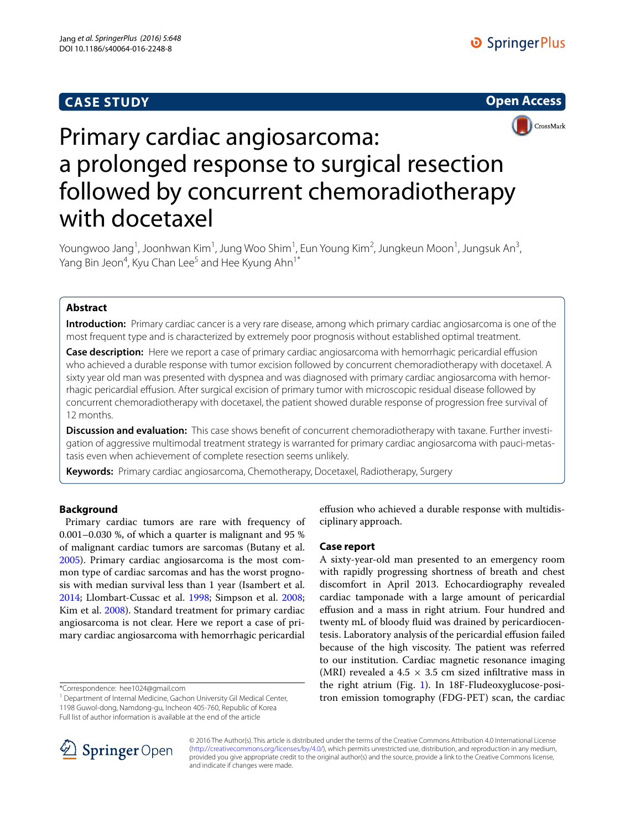## **CASE STUDY**





# Primary cardiac angiosarcoma: a prolonged response to surgical resection followed by concurrent chemoradiotherapy with docetaxel

Youngwoo Jang<sup>1</sup>, Joonhwan Kim<sup>1</sup>, Jung Woo Shim<sup>1</sup>, Eun Young Kim<sup>2</sup>, Jungkeun Moon<sup>1</sup>, Jungsuk An<sup>3</sup>, Yang Bin Jeon<sup>4</sup>, Kyu Chan Lee<sup>5</sup> and Hee Kyung Ahn<sup>1\*</sup>

## **Abstract**

**Introduction:** Primary cardiac cancer is a very rare disease, among which primary cardiac angiosarcoma is one of the most frequent type and is characterized by extremely poor prognosis without established optimal treatment.

**Case description:** Here we report a case of primary cardiac angiosarcoma with hemorrhagic pericardial effusion who achieved a durable response with tumor excision followed by concurrent chemoradiotherapy with docetaxel. A sixty year old man was presented with dyspnea and was diagnosed with primary cardiac angiosarcoma with hemorrhagic pericardial effusion. After surgical excision of primary tumor with microscopic residual disease followed by concurrent chemoradiotherapy with docetaxel, the patient showed durable response of progression free survival of 12 months.

**Discussion and evaluation:** This case shows benefit of concurrent chemoradiotherapy with taxane. Further investigation of aggressive multimodal treatment strategy is warranted for primary cardiac angiosarcoma with pauci-metastasis even when achievement of complete resection seems unlikely.

**Keywords:** Primary cardiac angiosarcoma, Chemotherapy, Docetaxel, Radiotherapy, Surgery

## **Background**

 Primary cardiac tumors are rare with frequency of 0.001–0.030 %, of which a quarter is malignant and 95 % of malignant cardiac tumors are sarcomas (Butany et al. [2005](#page-2-0)). Primary cardiac angiosarcoma is the most common type of cardiac sarcomas and has the worst prognosis with median survival less than 1 year (Isambert et al. [2014](#page-2-1); Llombart-Cussac et al. [1998;](#page-2-2) Simpson et al. [2008](#page-2-3); Kim et al. [2008](#page-2-4)). Standard treatment for primary cardiac angiosarcoma is not clear. Here we report a case of primary cardiac angiosarcoma with hemorrhagic pericardial

\*Correspondence: hee1024@gmail.com

<sup>1</sup> Department of Internal Medicine, Gachon University Gil Medical Center, 1198 Guwol-dong, Namdong-gu, Incheon 405-760, Republic of Korea Full list of author information is available at the end of the article

effusion who achieved a durable response with multidisciplinary approach.

### **Case report**

A sixty-year-old man presented to an emergency room with rapidly progressing shortness of breath and chest discomfort in April 2013. Echocardiography revealed cardiac tamponade with a large amount of pericardial effusion and a mass in right atrium. Four hundred and twenty mL of bloody fluid was drained by pericardiocentesis. Laboratory analysis of the pericardial effusion failed because of the high viscosity. The patient was referred to our institution. Cardiac magnetic resonance imaging (MRI) revealed a 4.5  $\times$  3.5 cm sized infiltrative mass in the right atrium (Fig. [1](#page-1-0)). In 18F-Fludeoxyglucose-positron emission tomography (FDG-PET) scan, the cardiac



© 2016 The Author(s). This article is distributed under the terms of the Creative Commons Attribution 4.0 International License [\(http://creativecommons.org/licenses/by/4.0/\)](http://creativecommons.org/licenses/by/4.0/), which permits unrestricted use, distribution, and reproduction in any medium, provided you give appropriate credit to the original author(s) and the source, provide a link to the Creative Commons license, and indicate if changes were made.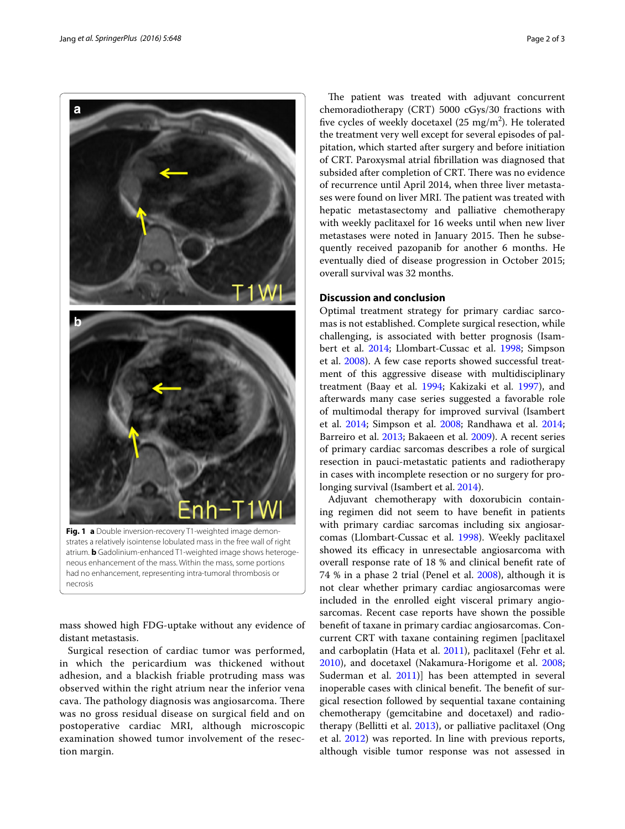

<span id="page-1-0"></span>mass showed high FDG-uptake without any evidence of distant metastasis.

Surgical resection of cardiac tumor was performed, in which the pericardium was thickened without adhesion, and a blackish friable protruding mass was observed within the right atrium near the inferior vena cava. The pathology diagnosis was angiosarcoma. There was no gross residual disease on surgical field and on postoperative cardiac MRI, although microscopic examination showed tumor involvement of the resection margin.

The patient was treated with adjuvant concurrent chemoradiotherapy (CRT) 5000 cGys/30 fractions with five cycles of weekly docetaxel  $(25 \text{ mg/m}^2)$ . He tolerated the treatment very well except for several episodes of palpitation, which started after surgery and before initiation of CRT. Paroxysmal atrial fibrillation was diagnosed that subsided after completion of CRT. There was no evidence of recurrence until April 2014, when three liver metastases were found on liver MRI. The patient was treated with hepatic metastasectomy and palliative chemotherapy with weekly paclitaxel for 16 weeks until when new liver metastases were noted in January 2015. Then he subsequently received pazopanib for another 6 months. He eventually died of disease progression in October 2015; overall survival was 32 months.

## **Discussion and conclusion**

Optimal treatment strategy for primary cardiac sarcomas is not established. Complete surgical resection, while challenging, is associated with better prognosis (Isambert et al. [2014;](#page-2-1) Llombart-Cussac et al. [1998;](#page-2-2) Simpson et al. [2008\)](#page-2-3). A few case reports showed successful treatment of this aggressive disease with multidisciplinary treatment (Baay et al. [1994;](#page-2-5) Kakizaki et al. [1997\)](#page-2-6), and afterwards many case series suggested a favorable role of multimodal therapy for improved survival (Isambert et al. [2014](#page-2-1); Simpson et al. [2008](#page-2-3); Randhawa et al. [2014](#page-2-7); Barreiro et al. [2013;](#page-2-8) Bakaeen et al. [2009\)](#page-2-9). A recent series of primary cardiac sarcomas describes a role of surgical resection in pauci-metastatic patients and radiotherapy in cases with incomplete resection or no surgery for prolonging survival (Isambert et al. [2014\)](#page-2-1).

Adjuvant chemotherapy with doxorubicin containing regimen did not seem to have benefit in patients with primary cardiac sarcomas including six angiosarcomas (Llombart-Cussac et al. [1998](#page-2-2)). Weekly paclitaxel showed its efficacy in unresectable angiosarcoma with overall response rate of 18 % and clinical benefit rate of 74 % in a phase 2 trial (Penel et al. [2008\)](#page-2-10), although it is not clear whether primary cardiac angiosarcomas were included in the enrolled eight visceral primary angiosarcomas. Recent case reports have shown the possible benefit of taxane in primary cardiac angiosarcomas. Concurrent CRT with taxane containing regimen [paclitaxel and carboplatin (Hata et al. [2011\)](#page-2-11), paclitaxel (Fehr et al. [2010](#page-2-12)), and docetaxel (Nakamura-Horigome et al. [2008](#page-2-13); Suderman et al.  $2011$ ) has been attempted in several inoperable cases with clinical benefit. The benefit of surgical resection followed by sequential taxane containing chemotherapy (gemcitabine and docetaxel) and radiotherapy (Bellitti et al. [2013](#page-2-15)), or palliative paclitaxel (Ong et al. [2012](#page-2-16)) was reported. In line with previous reports, although visible tumor response was not assessed in